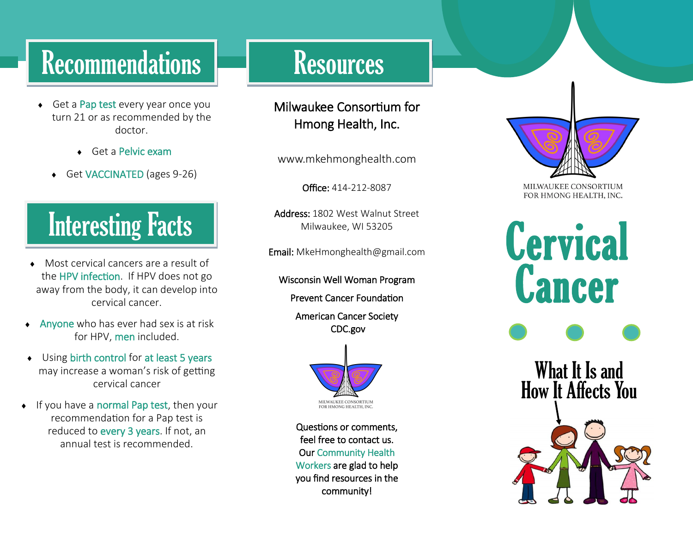# Recommendations **Resources**

- Get a Pap test every year once you turn 21 or as recommended by the doctor.
	- Get a Pelvic exam
	- Get VACCINATED (ages 9-26)

# Interesting Facts

- Most cervical cancers are a result of the HPV infection. If HPV does not go away from the body, it can develop into cervical cancer.
- Anyone who has ever had sex is at risk for HPV, men included.
- ◆ Using birth control for at least 5 years may increase a woman's risk of getting cervical cancer
- $\bullet$  If you have a normal Pap test, then your recommendation for a Pap test is reduced to every 3 years. If not, an annual test is recommended.

#### Milwaukee Consortium for Hmong Health, Inc.

www.mkehmonghealth.com

Office: 414-212-8087

Address: 1802 West Walnut Street Milwaukee, WI 53205

Email: MkeHmonghealth@gmail.com

Wisconsin Well Woman Program

Prevent Cancer Foundation

American Cancer Society CDC.gov



Questions or comments, feel free to contact us. Our Community Health Workers are glad to help you find resources in the community!



MILWAUKEE CONSORTIUM FOR HMONG HEALTH, INC.

**Cervical Cancer**